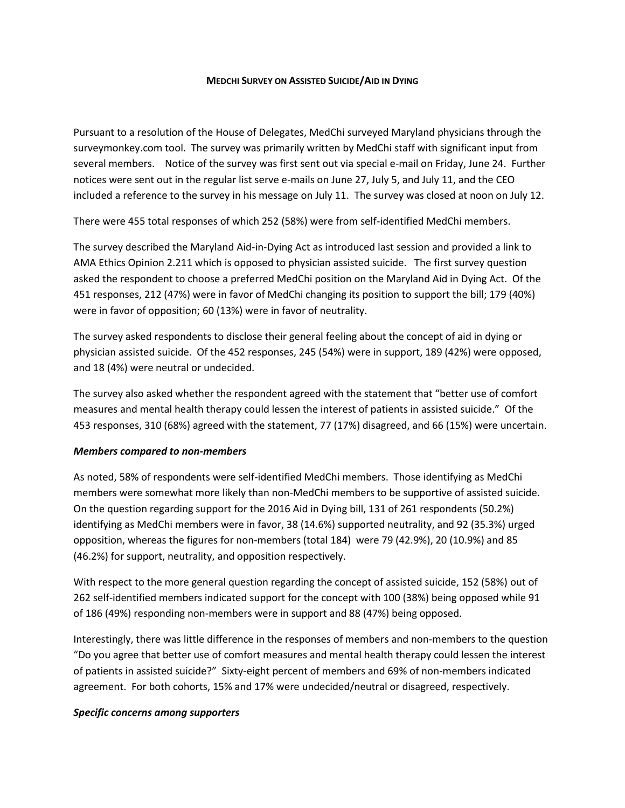## **MEDCHI SURVEY ON ASSISTED SUICIDE/AID IN DYING**

Pursuant to a resolution of the House of Delegates, MedChi surveyed Maryland physicians through the surveymonkey.com tool. The survey was primarily written by MedChi staff with significant input from several members. Notice of the survey was first sent out via special e-mail on Friday, June 24. Further notices were sent out in the regular list serve e-mails on June 27, July 5, and July 11, and the CEO included a reference to the survey in his message on July 11. The survey was closed at noon on July 12.

There were 455 total responses of which 252 (58%) were from self-identified MedChi members.

The survey described the Maryland Aid-in-Dying Act as introduced last session and provided a link to AMA Ethics Opinion 2.211 which is opposed to physician assisted suicide. The first survey question asked the respondent to choose a preferred MedChi position on the Maryland Aid in Dying Act. Of the 451 responses, 212 (47%) were in favor of MedChi changing its position to support the bill; 179 (40%) were in favor of opposition; 60 (13%) were in favor of neutrality.

The survey asked respondents to disclose their general feeling about the concept of aid in dying or physician assisted suicide. Of the 452 responses, 245 (54%) were in support, 189 (42%) were opposed, and 18 (4%) were neutral or undecided.

The survey also asked whether the respondent agreed with the statement that "better use of comfort measures and mental health therapy could lessen the interest of patients in assisted suicide." Of the 453 responses, 310 (68%) agreed with the statement, 77 (17%) disagreed, and 66 (15%) were uncertain.

## *Members compared to non-members*

As noted, 58% of respondents were self-identified MedChi members. Those identifying as MedChi members were somewhat more likely than non-MedChi members to be supportive of assisted suicide. On the question regarding support for the 2016 Aid in Dying bill, 131 of 261 respondents (50.2%) identifying as MedChi members were in favor, 38 (14.6%) supported neutrality, and 92 (35.3%) urged opposition, whereas the figures for non-members (total 184) were 79 (42.9%), 20 (10.9%) and 85 (46.2%) for support, neutrality, and opposition respectively.

With respect to the more general question regarding the concept of assisted suicide, 152 (58%) out of 262 self-identified members indicated support for the concept with 100 (38%) being opposed while 91 of 186 (49%) responding non-members were in support and 88 (47%) being opposed.

Interestingly, there was little difference in the responses of members and non-members to the question "Do you agree that better use of comfort measures and mental health therapy could lessen the interest of patients in assisted suicide?" Sixty-eight percent of members and 69% of non-members indicated agreement. For both cohorts, 15% and 17% were undecided/neutral or disagreed, respectively.

## *Specific concerns among supporters*